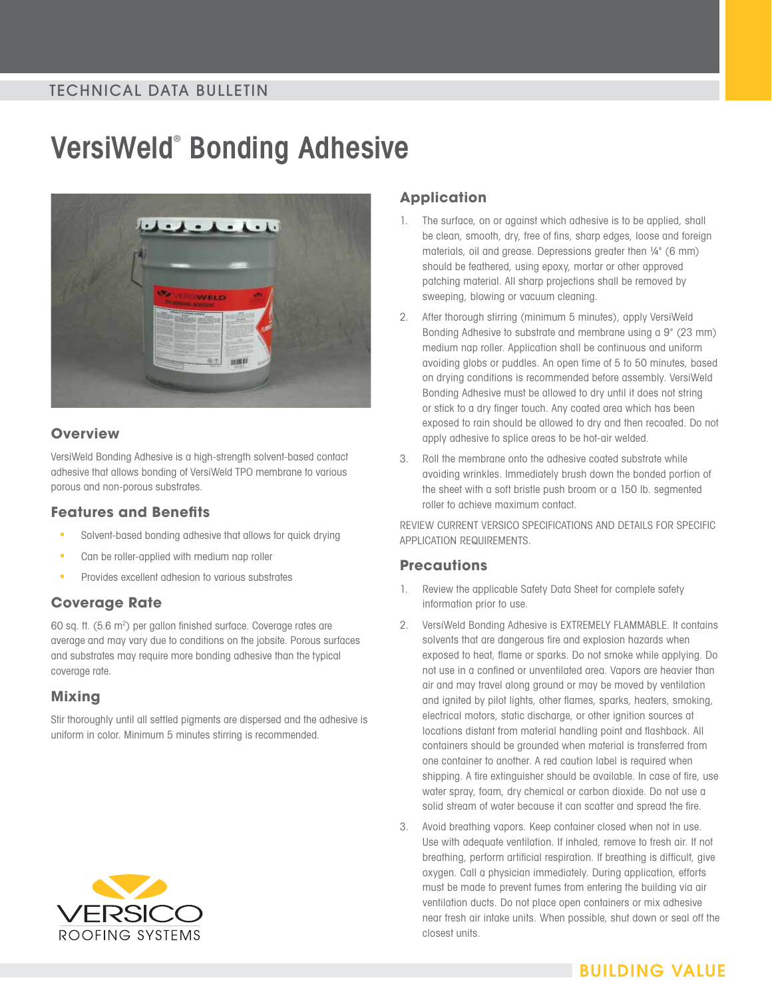## TECHNICAL DATA BULLETIN

# **VersiWeld**®  **Bonding Adhesive**



#### **Overview**

VersiWeld Bonding Adhesive is a high-strength solvent-based contact adhesive that allows bonding of VersiWeld TPO membrane to various porous and non-porous substrates.

#### **Features and Benefits**

- Solvent-based bonding adhesive that allows for quick drying
- Can be roller-applied with medium nap roller
- Provides excellent adhesion to various substrates

#### **Coverage Rate**

60 sq. ft. (5.6 m<sup>2</sup>) per gallon finished surface. Coverage rates are average and may vary due to conditions on the jobsite. Porous surfaces and substrates may require more bonding adhesive than the typical coverage rate.

### **Mixing**

Stir thoroughly until all settled pigments are dispersed and the adhesive is uniform in color. Minimum 5 minutes stirring is recommended.

# **Application**

- 1. The surface, on or against which adhesive is to be applied, shall be clean, smooth, dry, free of fins, sharp edges, loose and foreign materials, oil and grease. Depressions greater then ¼" (6 mm) should be feathered, using epoxy, mortar or other approved patching material. All sharp projections shall be removed by sweeping, blowing or vacuum cleaning.
- 2. After thorough stirring (minimum 5 minutes), apply VersiWeld Bonding Adhesive to substrate and membrane using a 9" (23 mm) medium nap roller. Application shall be continuous and uniform avoiding globs or puddles. An open time of 5 to 50 minutes, based on drying conditions is recommended before assembly. VersiWeld Bonding Adhesive must be allowed to dry until it does not string or stick to a dry finger touch. Any coated area which has been exposed to rain should be allowed to dry and then recoated. Do not apply adhesive to splice areas to be hot-air welded.
- 3. Roll the membrane onto the adhesive coated substrate while avoiding wrinkles. Immediately brush down the bonded portion of the sheet with a soft bristle push broom or a 150 lb. segmented roller to achieve maximum contact.

REVIEW CURRENT VERSICO SPECIFICATIONS AND DETAILS FOR SPECIFIC APPLICATION REQUIREMENTS.

#### **Precautions**

- 1. Review the applicable Safety Data Sheet for complete safety information prior to use.
- 2. VersiWeld Bonding Adhesive is EXTREMELY FLAMMABLE. It contains solvents that are dangerous fire and explosion hazards when exposed to heat, flame or sparks. Do not smoke while applying. Do not use in a confined or unventilated area. Vapors are heavier than air and may travel along ground or may be moved by ventilation and ignited by pilot lights, other flames, sparks, heaters, smoking, electrical motors, static discharge, or other ignition sources at locations distant from material handling point and flashback. All containers should be grounded when material is transferred from one container to another. A red caution label is required when shipping. A fire extinguisher should be available. In case of fire, use water spray, foam, dry chemical or carbon dioxide. Do not use a solid stream of water because it can scatter and spread the fire.
- 3. Avoid breathing vapors. Keep container closed when not in use. Use with adequate ventilation. If inhaled, remove to fresh air. If not breathing, perform artificial respiration. If breathing is difficult, give oxygen. Call a physician immediately. During application, efforts must be made to prevent fumes from entering the building via air ventilation ducts. Do not place open containers or mix adhesive near fresh air intake units. When possible, shut down or seal off the closest units.



# **BUILDING VALUE**